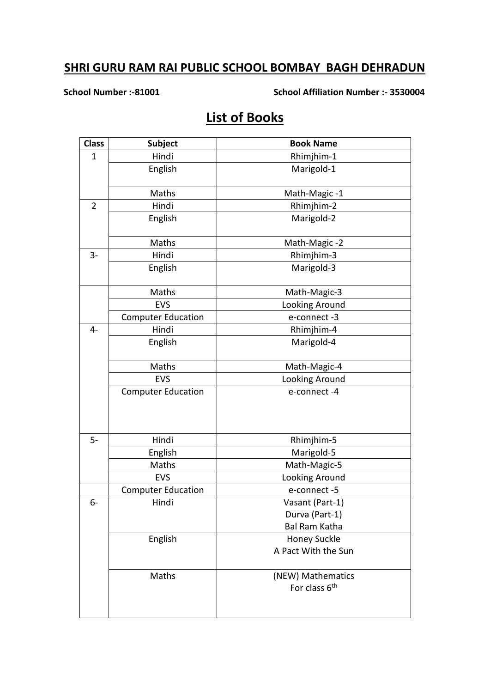**School Number :-81001 School Affiliation Number :- 3530004**

# **List of Books**

| <b>Class</b>   | <b>Subject</b>            | <b>Book Name</b>          |
|----------------|---------------------------|---------------------------|
| $\mathbf{1}$   | Hindi<br>Rhimjhim-1       |                           |
|                | English                   | Marigold-1                |
|                | Maths                     | Math-Magic-1              |
| $\overline{2}$ | Hindi                     | Rhimjhim-2                |
|                | English                   | Marigold-2                |
|                | Maths                     | Math-Magic-2              |
| $3-$           | Hindi                     | Rhimjhim-3                |
|                | English                   | Marigold-3                |
|                | Maths                     | Math-Magic-3              |
|                | EVS                       | Looking Around            |
|                | <b>Computer Education</b> | e-connect-3               |
| $4-$           | Hindi                     | Rhimjhim-4                |
|                | English                   | Marigold-4                |
|                | Maths                     | Math-Magic-4              |
|                | <b>EVS</b>                | Looking Around            |
|                | <b>Computer Education</b> | e-connect-4               |
| $5-$           | Hindi                     | Rhimjhim-5                |
|                | English                   | Marigold-5                |
|                | Maths                     | Math-Magic-5              |
|                | EVS                       | Looking Around            |
|                | <b>Computer Education</b> | e-connect-5               |
| 6-             | Hindi                     | Vasant (Part-1)           |
|                |                           | Durva (Part-1)            |
|                |                           | <b>Bal Ram Katha</b>      |
|                | English                   | <b>Honey Suckle</b>       |
|                |                           | A Pact With the Sun       |
|                | Maths                     | (NEW) Mathematics         |
|                |                           | For class 6 <sup>th</sup> |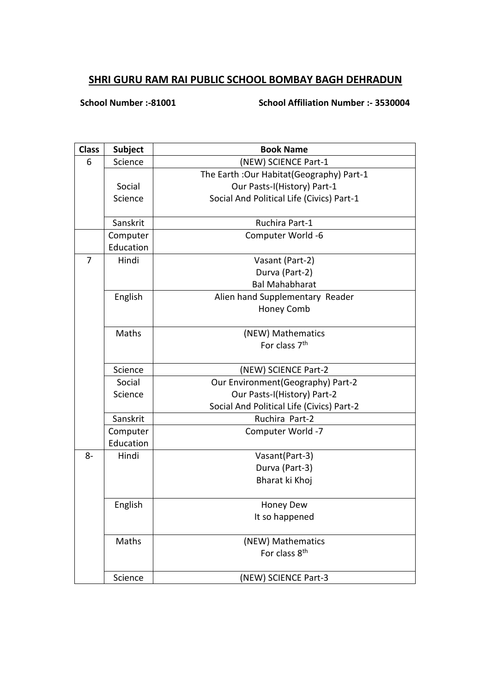### **School Number :-81001 School Affiliation Number :- 3530004**

| <b>Class</b>   | <b>Subject</b> | <b>Book Name</b>                           |
|----------------|----------------|--------------------------------------------|
| 6              | Science        | (NEW) SCIENCE Part-1                       |
|                |                | The Earth : Our Habitat (Geography) Part-1 |
|                | Social         | Our Pasts-I(History) Part-1                |
|                | Science        | Social And Political Life (Civics) Part-1  |
|                |                |                                            |
|                | Sanskrit       | Ruchira Part-1                             |
|                | Computer       | Computer World -6                          |
|                | Education      |                                            |
| $\overline{7}$ | Hindi          | Vasant (Part-2)                            |
|                |                | Durva (Part-2)                             |
|                |                | <b>Bal Mahabharat</b>                      |
|                | English        | Alien hand Supplementary Reader            |
|                |                | Honey Comb                                 |
|                |                |                                            |
|                | Maths          | (NEW) Mathematics                          |
|                |                | For class 7 <sup>th</sup>                  |
|                |                |                                            |
|                | Science        | (NEW) SCIENCE Part-2                       |
|                | Social         | Our Environment(Geography) Part-2          |
|                | Science        | Our Pasts-I(History) Part-2                |
|                |                | Social And Political Life (Civics) Part-2  |
|                | Sanskrit       | Ruchira Part-2                             |
|                | Computer       | Computer World -7                          |
|                | Education      |                                            |
| $8-$           | Hindi          | Vasant(Part-3)                             |
|                |                | Durva (Part-3)                             |
|                |                | Bharat ki Khoj                             |
|                | English        | Honey Dew                                  |
|                |                | It so happened                             |
|                | Maths          | (NEW) Mathematics                          |
|                |                | For class 8 <sup>th</sup>                  |
|                | Science        | (NEW) SCIENCE Part-3                       |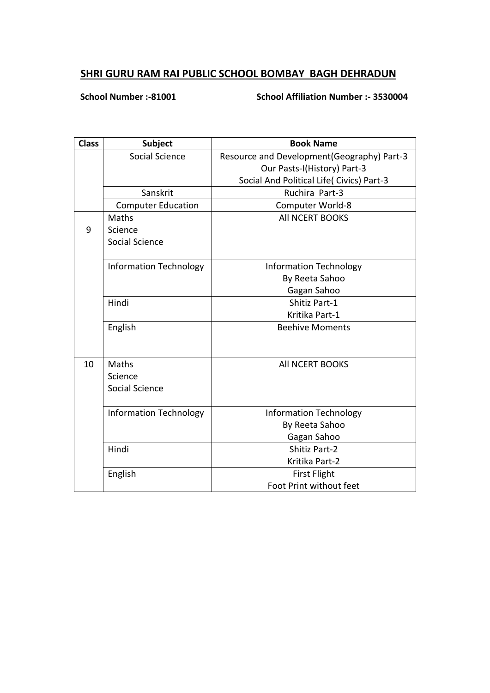**School Number :-81001 School Affiliation Number :- 3530004**

| <b>Class</b> | Subject                       | <b>Book Name</b>                            |
|--------------|-------------------------------|---------------------------------------------|
|              | Social Science                | Resource and Development (Geography) Part-3 |
|              |                               | Our Pasts-I(History) Part-3                 |
|              |                               | Social And Political Life( Civics) Part-3   |
|              | Sanskrit                      | Ruchira Part-3                              |
|              | <b>Computer Education</b>     | Computer World-8                            |
|              | Maths                         | All NCERT BOOKS                             |
| 9            | Science                       |                                             |
|              | Social Science                |                                             |
|              |                               |                                             |
|              | <b>Information Technology</b> | <b>Information Technology</b>               |
|              |                               | By Reeta Sahoo                              |
|              |                               | Gagan Sahoo                                 |
|              | Hindi                         | Shitiz Part-1                               |
|              |                               | Kritika Part-1                              |
|              | English                       | <b>Beehive Moments</b>                      |
|              |                               |                                             |
|              |                               |                                             |
| 10           | Maths                         | All NCERT BOOKS                             |
|              | Science                       |                                             |
|              | Social Science                |                                             |
|              |                               |                                             |
|              | <b>Information Technology</b> | <b>Information Technology</b>               |
|              |                               | By Reeta Sahoo                              |
|              |                               | Gagan Sahoo                                 |
|              | Hindi                         | <b>Shitiz Part-2</b>                        |
|              |                               | Kritika Part-2                              |
|              | English                       | <b>First Flight</b>                         |
|              |                               | Foot Print without feet                     |